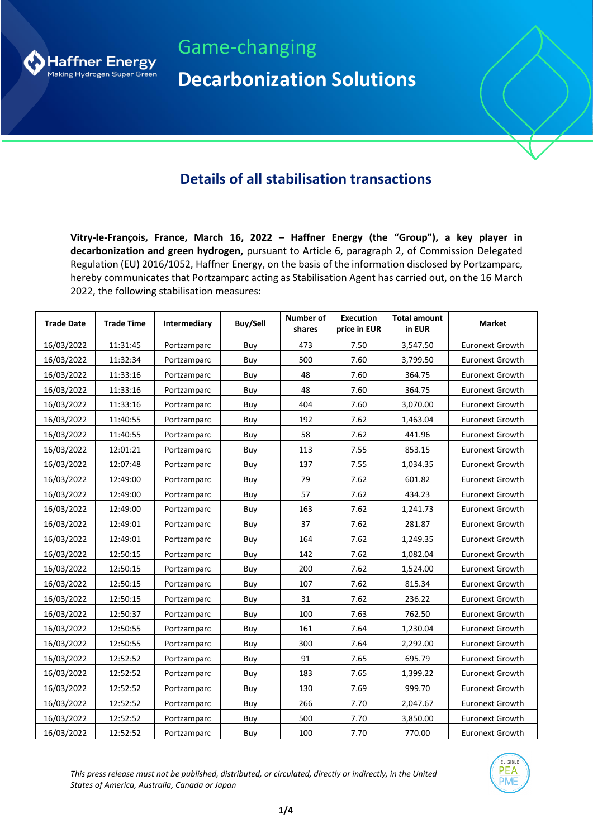

Game-changing **Decarbonization Solutions**

## **Details of all stabilisation transactions**

**Vitry-le-François, France, March 16, 2022 – Haffner Energy (the "Group"), a key player in decarbonization and green hydrogen,** pursuant to Article 6, paragraph 2, of Commission Delegated Regulation (EU) 2016/1052, Haffner Energy, on the basis of the information disclosed by Portzamparc, hereby communicates that Portzamparc acting as Stabilisation Agent has carried out, on the 16 March 2022, the following stabilisation measures:

| <b>Trade Date</b> | <b>Trade Time</b> | Intermediary | <b>Buy/Sell</b> | Number of<br>shares | <b>Execution</b><br>price in EUR | <b>Total amount</b><br>in EUR | <b>Market</b>          |
|-------------------|-------------------|--------------|-----------------|---------------------|----------------------------------|-------------------------------|------------------------|
| 16/03/2022        | 11:31:45          | Portzamparc  | Buy             | 473                 | 7.50                             | 3,547.50                      | <b>Euronext Growth</b> |
| 16/03/2022        | 11:32:34          | Portzamparc  | Buy             | 500                 | 7.60                             | 3,799.50                      | <b>Euronext Growth</b> |
| 16/03/2022        | 11:33:16          | Portzamparc  | Buy             | 48                  | 7.60                             | 364.75                        | <b>Euronext Growth</b> |
| 16/03/2022        | 11:33:16          | Portzamparc  | Buy             | 48                  | 7.60                             | 364.75                        | <b>Euronext Growth</b> |
| 16/03/2022        | 11:33:16          | Portzamparc  | Buy             | 404                 | 7.60                             | 3,070.00                      | <b>Euronext Growth</b> |
| 16/03/2022        | 11:40:55          | Portzamparc  | Buy             | 192                 | 7.62                             | 1,463.04                      | <b>Euronext Growth</b> |
| 16/03/2022        | 11:40:55          | Portzamparc  | Buy             | 58                  | 7.62                             | 441.96                        | <b>Euronext Growth</b> |
| 16/03/2022        | 12:01:21          | Portzamparc  | Buy             | 113                 | 7.55                             | 853.15                        | <b>Euronext Growth</b> |
| 16/03/2022        | 12:07:48          | Portzamparc  | Buy             | 137                 | 7.55                             | 1,034.35                      | <b>Euronext Growth</b> |
| 16/03/2022        | 12:49:00          | Portzamparc  | Buy             | 79                  | 7.62                             | 601.82                        | <b>Euronext Growth</b> |
| 16/03/2022        | 12:49:00          | Portzamparc  | Buy             | 57                  | 7.62                             | 434.23                        | <b>Euronext Growth</b> |
| 16/03/2022        | 12:49:00          | Portzamparc  | Buy             | 163                 | 7.62                             | 1,241.73                      | <b>Euronext Growth</b> |
| 16/03/2022        | 12:49:01          | Portzamparc  | Buy             | 37                  | 7.62                             | 281.87                        | <b>Euronext Growth</b> |
| 16/03/2022        | 12:49:01          | Portzamparc  | Buy             | 164                 | 7.62                             | 1,249.35                      | <b>Euronext Growth</b> |
| 16/03/2022        | 12:50:15          | Portzamparc  | Buy             | 142                 | 7.62                             | 1,082.04                      | <b>Euronext Growth</b> |
| 16/03/2022        | 12:50:15          | Portzamparc  | Buy             | 200                 | 7.62                             | 1,524.00                      | <b>Euronext Growth</b> |
| 16/03/2022        | 12:50:15          | Portzamparc  | Buy             | 107                 | 7.62                             | 815.34                        | <b>Euronext Growth</b> |
| 16/03/2022        | 12:50:15          | Portzamparc  | Buy             | 31                  | 7.62                             | 236.22                        | <b>Euronext Growth</b> |
| 16/03/2022        | 12:50:37          | Portzamparc  | Buy             | 100                 | 7.63                             | 762.50                        | <b>Euronext Growth</b> |
| 16/03/2022        | 12:50:55          | Portzamparc  | Buy             | 161                 | 7.64                             | 1,230.04                      | <b>Euronext Growth</b> |
| 16/03/2022        | 12:50:55          | Portzamparc  | Buy             | 300                 | 7.64                             | 2,292.00                      | <b>Euronext Growth</b> |
| 16/03/2022        | 12:52:52          | Portzamparc  | Buy             | 91                  | 7.65                             | 695.79                        | <b>Euronext Growth</b> |
| 16/03/2022        | 12:52:52          | Portzamparc  | Buy             | 183                 | 7.65                             | 1,399.22                      | <b>Euronext Growth</b> |
| 16/03/2022        | 12:52:52          | Portzamparc  | Buy             | 130                 | 7.69                             | 999.70                        | <b>Euronext Growth</b> |
| 16/03/2022        | 12:52:52          | Portzamparc  | Buy             | 266                 | 7.70                             | 2,047.67                      | <b>Euronext Growth</b> |
| 16/03/2022        | 12:52:52          | Portzamparc  | Buy             | 500                 | 7.70                             | 3,850.00                      | <b>Euronext Growth</b> |
| 16/03/2022        | 12:52:52          | Portzamparc  | Buy             | 100                 | 7.70                             | 770.00                        | Euronext Growth        |

*This press release must not be published, distributed, or circulated, directly or indirectly, in the United States of America, Australia, Canada or Japan*

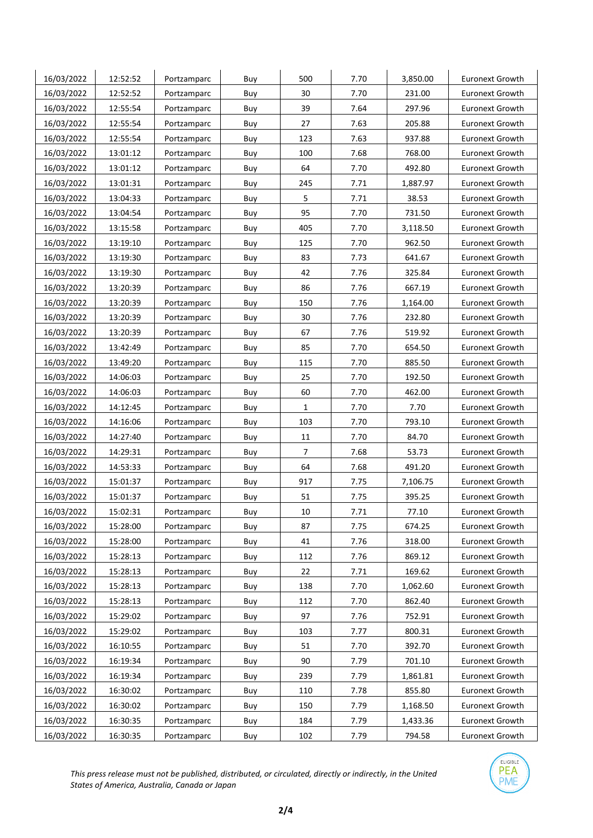| 16/03/2022 | 12:52:52 | Portzamparc | Buy | 500          | 7.70 | 3,850.00 | <b>Euronext Growth</b> |
|------------|----------|-------------|-----|--------------|------|----------|------------------------|
| 16/03/2022 | 12:52:52 | Portzamparc | Buy | 30           | 7.70 | 231.00   | <b>Euronext Growth</b> |
| 16/03/2022 | 12:55:54 | Portzamparc | Buy | 39           | 7.64 | 297.96   | <b>Euronext Growth</b> |
| 16/03/2022 | 12:55:54 | Portzamparc | Buy | 27           | 7.63 | 205.88   | <b>Euronext Growth</b> |
| 16/03/2022 | 12:55:54 | Portzamparc | Buy | 123          | 7.63 | 937.88   | <b>Euronext Growth</b> |
| 16/03/2022 | 13:01:12 | Portzamparc | Buy | 100          | 7.68 | 768.00   | <b>Euronext Growth</b> |
| 16/03/2022 | 13:01:12 | Portzamparc | Buy | 64           | 7.70 | 492.80   | <b>Euronext Growth</b> |
| 16/03/2022 | 13:01:31 | Portzamparc | Buy | 245          | 7.71 | 1,887.97 | <b>Euronext Growth</b> |
| 16/03/2022 | 13:04:33 | Portzamparc | Buy | 5            | 7.71 | 38.53    | <b>Euronext Growth</b> |
| 16/03/2022 | 13:04:54 | Portzamparc | Buy | 95           | 7.70 | 731.50   | <b>Euronext Growth</b> |
| 16/03/2022 | 13:15:58 | Portzamparc | Buy | 405          | 7.70 | 3,118.50 | <b>Euronext Growth</b> |
| 16/03/2022 | 13:19:10 | Portzamparc | Buy | 125          | 7.70 | 962.50   | <b>Euronext Growth</b> |
| 16/03/2022 | 13:19:30 | Portzamparc | Buy | 83           | 7.73 | 641.67   | <b>Euronext Growth</b> |
| 16/03/2022 | 13:19:30 | Portzamparc | Buy | 42           | 7.76 | 325.84   | <b>Euronext Growth</b> |
| 16/03/2022 | 13:20:39 | Portzamparc | Buy | 86           | 7.76 | 667.19   | <b>Euronext Growth</b> |
| 16/03/2022 | 13:20:39 | Portzamparc | Buy | 150          | 7.76 | 1,164.00 | <b>Euronext Growth</b> |
| 16/03/2022 | 13:20:39 | Portzamparc | Buy | 30           | 7.76 | 232.80   | <b>Euronext Growth</b> |
| 16/03/2022 | 13:20:39 | Portzamparc | Buy | 67           | 7.76 | 519.92   | <b>Euronext Growth</b> |
| 16/03/2022 | 13:42:49 | Portzamparc | Buy | 85           | 7.70 | 654.50   | <b>Euronext Growth</b> |
| 16/03/2022 | 13:49:20 | Portzamparc | Buy | 115          | 7.70 | 885.50   | <b>Euronext Growth</b> |
| 16/03/2022 | 14:06:03 | Portzamparc | Buy | 25           | 7.70 | 192.50   | <b>Euronext Growth</b> |
| 16/03/2022 | 14:06:03 | Portzamparc | Buy | 60           | 7.70 | 462.00   | <b>Euronext Growth</b> |
| 16/03/2022 | 14:12:45 | Portzamparc | Buy | $\mathbf{1}$ | 7.70 | 7.70     | <b>Euronext Growth</b> |
| 16/03/2022 | 14:16:06 | Portzamparc | Buy | 103          | 7.70 | 793.10   | <b>Euronext Growth</b> |
| 16/03/2022 | 14:27:40 | Portzamparc | Buy | 11           | 7.70 | 84.70    | <b>Euronext Growth</b> |
| 16/03/2022 | 14:29:31 | Portzamparc | Buy | 7            | 7.68 | 53.73    | <b>Euronext Growth</b> |
| 16/03/2022 | 14:53:33 | Portzamparc | Buy | 64           | 7.68 | 491.20   | <b>Euronext Growth</b> |
| 16/03/2022 | 15:01:37 | Portzamparc | Buy | 917          | 7.75 | 7,106.75 | <b>Euronext Growth</b> |
| 16/03/2022 | 15:01:37 | Portzamparc | Buy | 51           | 7.75 | 395.25   | <b>Euronext Growth</b> |
| 16/03/2022 | 15:02:31 | Portzamparc | Buy | 10           | 7.71 | 77.10    | <b>Euronext Growth</b> |
| 16/03/2022 | 15:28:00 | Portzamparc | Buy | 87           | 7.75 | 674.25   | <b>Euronext Growth</b> |
| 16/03/2022 | 15:28:00 | Portzamparc | Buy | 41           | 7.76 | 318.00   | Euronext Growth        |
| 16/03/2022 | 15:28:13 | Portzamparc | Buy | 112          | 7.76 | 869.12   | <b>Euronext Growth</b> |
| 16/03/2022 | 15:28:13 | Portzamparc | Buy | 22           | 7.71 | 169.62   | <b>Euronext Growth</b> |
| 16/03/2022 | 15:28:13 | Portzamparc | Buy | 138          | 7.70 | 1,062.60 | <b>Euronext Growth</b> |
| 16/03/2022 | 15:28:13 | Portzamparc | Buy | 112          | 7.70 | 862.40   | <b>Euronext Growth</b> |
| 16/03/2022 | 15:29:02 | Portzamparc | Buy | 97           | 7.76 | 752.91   | Euronext Growth        |
| 16/03/2022 | 15:29:02 | Portzamparc | Buy | 103          | 7.77 | 800.31   | <b>Euronext Growth</b> |
| 16/03/2022 | 16:10:55 | Portzamparc | Buy | 51           | 7.70 | 392.70   | <b>Euronext Growth</b> |
| 16/03/2022 | 16:19:34 | Portzamparc | Buy | 90           | 7.79 | 701.10   | <b>Euronext Growth</b> |
| 16/03/2022 | 16:19:34 | Portzamparc | Buy | 239          | 7.79 | 1,861.81 | <b>Euronext Growth</b> |
| 16/03/2022 | 16:30:02 | Portzamparc | Buy | 110          | 7.78 | 855.80   | <b>Euronext Growth</b> |
| 16/03/2022 | 16:30:02 | Portzamparc | Buy | 150          | 7.79 | 1,168.50 | <b>Euronext Growth</b> |
| 16/03/2022 | 16:30:35 | Portzamparc | Buy | 184          | 7.79 | 1,433.36 | Euronext Growth        |
| 16/03/2022 | 16:30:35 | Portzamparc | Buy | 102          | 7.79 | 794.58   | Euronext Growth        |

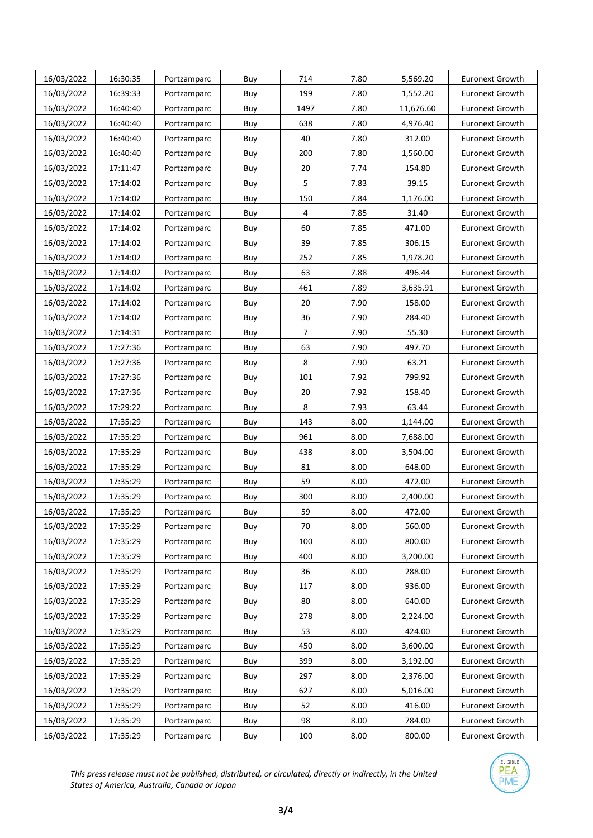| 16/03/2022 | 16:30:35 | Portzamparc | Buy | 714            | 7.80 | 5,569.20  | <b>Euronext Growth</b> |
|------------|----------|-------------|-----|----------------|------|-----------|------------------------|
| 16/03/2022 | 16:39:33 | Portzamparc | Buy | 199            | 7.80 | 1,552.20  | <b>Euronext Growth</b> |
| 16/03/2022 | 16:40:40 | Portzamparc | Buy | 1497           | 7.80 | 11,676.60 | <b>Euronext Growth</b> |
| 16/03/2022 | 16:40:40 | Portzamparc | Buy | 638            | 7.80 | 4,976.40  | <b>Euronext Growth</b> |
| 16/03/2022 | 16:40:40 | Portzamparc | Buy | 40             | 7.80 | 312.00    | <b>Euronext Growth</b> |
| 16/03/2022 | 16:40:40 | Portzamparc | Buy | 200            | 7.80 | 1,560.00  | <b>Euronext Growth</b> |
| 16/03/2022 | 17:11:47 | Portzamparc | Buy | 20             | 7.74 | 154.80    | <b>Euronext Growth</b> |
| 16/03/2022 | 17:14:02 | Portzamparc | Buy | 5              | 7.83 | 39.15     | <b>Euronext Growth</b> |
| 16/03/2022 | 17:14:02 | Portzamparc | Buy | 150            | 7.84 | 1,176.00  | <b>Euronext Growth</b> |
| 16/03/2022 | 17:14:02 | Portzamparc | Buy | 4              | 7.85 | 31.40     | <b>Euronext Growth</b> |
| 16/03/2022 | 17:14:02 | Portzamparc | Buy | 60             | 7.85 | 471.00    | <b>Euronext Growth</b> |
| 16/03/2022 | 17:14:02 | Portzamparc | Buy | 39             | 7.85 | 306.15    | Euronext Growth        |
| 16/03/2022 | 17:14:02 | Portzamparc | Buy | 252            | 7.85 | 1,978.20  | <b>Euronext Growth</b> |
| 16/03/2022 | 17:14:02 | Portzamparc | Buy | 63             | 7.88 | 496.44    | <b>Euronext Growth</b> |
| 16/03/2022 | 17:14:02 | Portzamparc | Buy | 461            | 7.89 | 3,635.91  | <b>Euronext Growth</b> |
| 16/03/2022 | 17:14:02 | Portzamparc | Buy | 20             | 7.90 | 158.00    | <b>Euronext Growth</b> |
| 16/03/2022 | 17:14:02 | Portzamparc | Buy | 36             | 7.90 | 284.40    | <b>Euronext Growth</b> |
| 16/03/2022 | 17:14:31 | Portzamparc | Buy | $\overline{7}$ | 7.90 | 55.30     | <b>Euronext Growth</b> |
| 16/03/2022 | 17:27:36 | Portzamparc | Buy | 63             | 7.90 | 497.70    | Euronext Growth        |
| 16/03/2022 | 17:27:36 | Portzamparc | Buy | 8              | 7.90 | 63.21     | <b>Euronext Growth</b> |
| 16/03/2022 | 17:27:36 | Portzamparc | Buy | 101            | 7.92 | 799.92    | <b>Euronext Growth</b> |
| 16/03/2022 | 17:27:36 | Portzamparc | Buy | 20             | 7.92 | 158.40    | <b>Euronext Growth</b> |
| 16/03/2022 | 17:29:22 | Portzamparc | Buy | 8              | 7.93 | 63.44     | Euronext Growth        |
| 16/03/2022 | 17:35:29 | Portzamparc | Buy | 143            | 8.00 | 1,144.00  | <b>Euronext Growth</b> |
| 16/03/2022 | 17:35:29 | Portzamparc | Buy | 961            | 8.00 | 7,688.00  | <b>Euronext Growth</b> |
| 16/03/2022 | 17:35:29 | Portzamparc | Buy | 438            | 8.00 | 3,504.00  | <b>Euronext Growth</b> |
| 16/03/2022 | 17:35:29 | Portzamparc | Buy | 81             | 8.00 | 648.00    | Euronext Growth        |
| 16/03/2022 | 17:35:29 | Portzamparc | Buy | 59             | 8.00 | 472.00    | <b>Euronext Growth</b> |
| 16/03/2022 | 17:35:29 | Portzamparc | Buy | 300            | 8.00 | 2,400.00  | <b>Euronext Growth</b> |
| 16/03/2022 | 17:35:29 | Portzamparc | Buy | 59             | 8.00 | 472.00    | <b>Euronext Growth</b> |
| 16/03/2022 | 17:35:29 | Portzamparc | Buy | 70             | 8.00 | 560.00    | <b>Euronext Growth</b> |
| 16/03/2022 | 17:35:29 | Portzamparc | Buy | 100            | 8.00 | 800.00    | <b>Euronext Growth</b> |
| 16/03/2022 | 17:35:29 | Portzamparc | Buy | 400            | 8.00 | 3,200.00  | <b>Euronext Growth</b> |
| 16/03/2022 | 17:35:29 | Portzamparc | Buy | 36             | 8.00 | 288.00    | <b>Euronext Growth</b> |
| 16/03/2022 | 17:35:29 | Portzamparc | Buy | 117            | 8.00 | 936.00    | <b>Euronext Growth</b> |
| 16/03/2022 | 17:35:29 | Portzamparc | Buy | 80             | 8.00 | 640.00    | <b>Euronext Growth</b> |
| 16/03/2022 | 17:35:29 | Portzamparc | Buy | 278            | 8.00 | 2,224.00  | <b>Euronext Growth</b> |
| 16/03/2022 | 17:35:29 | Portzamparc | Buy | 53             | 8.00 | 424.00    | <b>Euronext Growth</b> |
| 16/03/2022 | 17:35:29 | Portzamparc | Buy | 450            | 8.00 | 3,600.00  | <b>Euronext Growth</b> |
| 16/03/2022 | 17:35:29 | Portzamparc | Buy | 399            | 8.00 | 3,192.00  | <b>Euronext Growth</b> |
| 16/03/2022 | 17:35:29 | Portzamparc | Buy | 297            | 8.00 | 2,376.00  | <b>Euronext Growth</b> |
| 16/03/2022 | 17:35:29 | Portzamparc | Buy | 627            | 8.00 | 5,016.00  | <b>Euronext Growth</b> |
| 16/03/2022 | 17:35:29 | Portzamparc | Buy | 52             | 8.00 | 416.00    | <b>Euronext Growth</b> |
| 16/03/2022 | 17:35:29 | Portzamparc | Buy | 98             | 8.00 | 784.00    | <b>Euronext Growth</b> |
| 16/03/2022 | 17:35:29 | Portzamparc | Buy | 100            | 8.00 | 800.00    | Euronext Growth        |

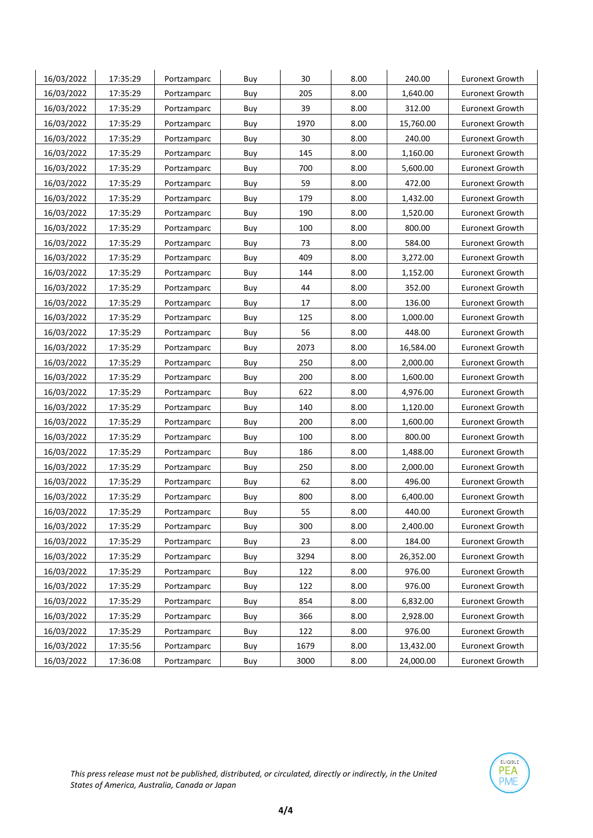| 16/03/2022 | 17:35:29 | Portzamparc | Buy | 30   | 8.00 | 240.00    | Euronext Growth        |
|------------|----------|-------------|-----|------|------|-----------|------------------------|
| 16/03/2022 | 17:35:29 | Portzamparc | Buy | 205  | 8.00 | 1,640.00  | Euronext Growth        |
| 16/03/2022 | 17:35:29 | Portzamparc | Buy | 39   | 8.00 | 312.00    | Euronext Growth        |
| 16/03/2022 | 17:35:29 | Portzamparc | Buy | 1970 | 8.00 | 15,760.00 | Euronext Growth        |
| 16/03/2022 | 17:35:29 | Portzamparc | Buy | 30   | 8.00 | 240.00    | Euronext Growth        |
| 16/03/2022 | 17:35:29 | Portzamparc | Buy | 145  | 8.00 | 1,160.00  | Euronext Growth        |
| 16/03/2022 | 17:35:29 | Portzamparc | Buy | 700  | 8.00 | 5,600.00  | Euronext Growth        |
| 16/03/2022 | 17:35:29 | Portzamparc | Buy | 59   | 8.00 | 472.00    | <b>Euronext Growth</b> |
| 16/03/2022 | 17:35:29 | Portzamparc | Buy | 179  | 8.00 | 1,432.00  | Euronext Growth        |
| 16/03/2022 | 17:35:29 | Portzamparc | Buy | 190  | 8.00 | 1,520.00  | Euronext Growth        |
| 16/03/2022 | 17:35:29 | Portzamparc | Buy | 100  | 8.00 | 800.00    | Euronext Growth        |
| 16/03/2022 | 17:35:29 | Portzamparc | Buy | 73   | 8.00 | 584.00    | Euronext Growth        |
| 16/03/2022 | 17:35:29 | Portzamparc | Buy | 409  | 8.00 | 3,272.00  | Euronext Growth        |
| 16/03/2022 | 17:35:29 | Portzamparc | Buy | 144  | 8.00 | 1,152.00  | Euronext Growth        |
| 16/03/2022 | 17:35:29 | Portzamparc | Buy | 44   | 8.00 | 352.00    | Euronext Growth        |
| 16/03/2022 | 17:35:29 | Portzamparc | Buy | 17   | 8.00 | 136.00    | <b>Euronext Growth</b> |
| 16/03/2022 | 17:35:29 | Portzamparc | Buy | 125  | 8.00 | 1,000.00  | <b>Euronext Growth</b> |
| 16/03/2022 | 17:35:29 | Portzamparc | Buy | 56   | 8.00 | 448.00    | Euronext Growth        |
| 16/03/2022 | 17:35:29 | Portzamparc | Buy | 2073 | 8.00 | 16,584.00 | <b>Euronext Growth</b> |
| 16/03/2022 | 17:35:29 | Portzamparc | Buy | 250  | 8.00 | 2,000.00  | Euronext Growth        |
| 16/03/2022 | 17:35:29 | Portzamparc | Buy | 200  | 8.00 | 1,600.00  | Euronext Growth        |
| 16/03/2022 | 17:35:29 | Portzamparc | Buy | 622  | 8.00 | 4,976.00  | Euronext Growth        |
| 16/03/2022 | 17:35:29 | Portzamparc | Buy | 140  | 8.00 | 1,120.00  | Euronext Growth        |
| 16/03/2022 | 17:35:29 | Portzamparc | Buy | 200  | 8.00 | 1,600.00  | Euronext Growth        |
| 16/03/2022 | 17:35:29 | Portzamparc | Buy | 100  | 8.00 | 800.00    | Euronext Growth        |
| 16/03/2022 | 17:35:29 | Portzamparc | Buy | 186  | 8.00 | 1,488.00  | Euronext Growth        |
| 16/03/2022 | 17:35:29 | Portzamparc | Buy | 250  | 8.00 | 2,000.00  | Euronext Growth        |
| 16/03/2022 | 17:35:29 | Portzamparc | Buy | 62   | 8.00 | 496.00    | Euronext Growth        |
| 16/03/2022 | 17:35:29 | Portzamparc | Buy | 800  | 8.00 | 6,400.00  | Euronext Growth        |
| 16/03/2022 | 17:35:29 | Portzamparc | Buy | 55   | 8.00 | 440.00    | Euronext Growth        |
| 16/03/2022 | 17:35:29 | Portzamparc | Buy | 300  | 8.00 | 2,400.00  | <b>Euronext Growth</b> |
| 16/03/2022 | 17:35:29 | Portzamparc | Buy | 23   | 8.00 | 184.00    | <b>Euronext Growth</b> |
| 16/03/2022 | 17:35:29 | Portzamparc | Buy | 3294 | 8.00 | 26,352.00 | <b>Euronext Growth</b> |
| 16/03/2022 | 17:35:29 | Portzamparc | Buy | 122  | 8.00 | 976.00    | Euronext Growth        |
| 16/03/2022 | 17:35:29 | Portzamparc | Buy | 122  | 8.00 | 976.00    | <b>Euronext Growth</b> |
| 16/03/2022 | 17:35:29 | Portzamparc | Buy | 854  | 8.00 | 6,832.00  | <b>Euronext Growth</b> |
| 16/03/2022 | 17:35:29 | Portzamparc | Buy | 366  | 8.00 | 2,928.00  | <b>Euronext Growth</b> |
| 16/03/2022 | 17:35:29 | Portzamparc | Buy | 122  | 8.00 | 976.00    | <b>Euronext Growth</b> |
| 16/03/2022 | 17:35:56 | Portzamparc | Buy | 1679 | 8.00 | 13,432.00 | <b>Euronext Growth</b> |
| 16/03/2022 | 17:36:08 | Portzamparc | Buy | 3000 | 8.00 | 24,000.00 | <b>Euronext Growth</b> |